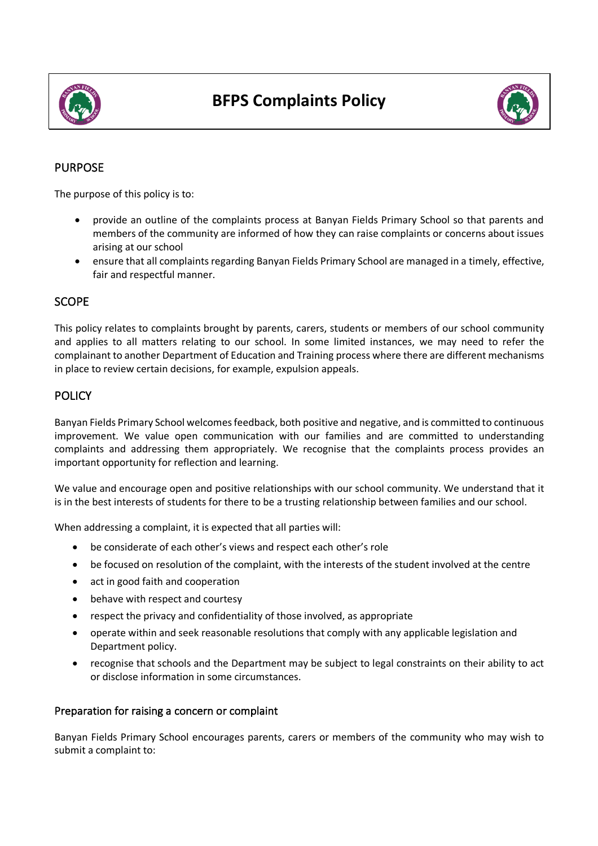



# PURPOSE

The purpose of this policy is to:

- provide an outline of the complaints process at Banyan Fields Primary School so that parents and members of the community are informed of how they can raise complaints or concerns about issues arising at our school
- ensure that all complaints regarding Banyan Fields Primary School are managed in a timely, effective, fair and respectful manner.

### **SCOPE**

This policy relates to complaints brought by parents, carers, students or members of our school community and applies to all matters relating to our school. In some limited instances, we may need to refer the complainant to another Department of Education and Training process where there are different mechanisms in place to review certain decisions, for example, expulsion appeals.

## **POLICY**

Banyan Fields Primary School welcomes feedback, both positive and negative, and is committed to continuous improvement. We value open communication with our families and are committed to understanding complaints and addressing them appropriately. We recognise that the complaints process provides an important opportunity for reflection and learning.

We value and encourage open and positive relationships with our school community. We understand that it is in the best interests of students for there to be a trusting relationship between families and our school.

When addressing a complaint, it is expected that all parties will:

- be considerate of each other's views and respect each other's role
- be focused on resolution of the complaint, with the interests of the student involved at the centre
- act in good faith and cooperation
- behave with respect and courtesy
- respect the privacy and confidentiality of those involved, as appropriate
- operate within and seek reasonable resolutions that comply with any applicable legislation and Department policy.
- recognise that schools and the Department may be subject to legal constraints on their ability to act or disclose information in some circumstances.

### Preparation for raising a concern or complaint

Banyan Fields Primary School encourages parents, carers or members of the community who may wish to submit a complaint to: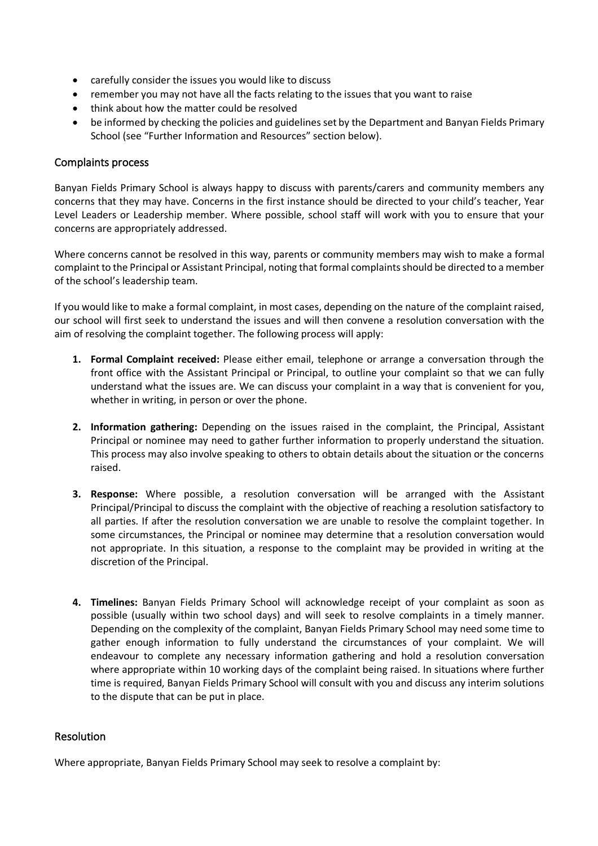- carefully consider the issues you would like to discuss
- remember you may not have all the facts relating to the issues that you want to raise
- think about how the matter could be resolved
- be informed by checking the policies and guidelines set by the Department and Banyan Fields Primary School (see "Further Information and Resources" section below).

## Complaints process

Banyan Fields Primary School is always happy to discuss with parents/carers and community members any concerns that they may have. Concerns in the first instance should be directed to your child's teacher, Year Level Leaders or Leadership member. Where possible, school staff will work with you to ensure that your concerns are appropriately addressed.

Where concerns cannot be resolved in this way, parents or community members may wish to make a formal complaintto the Principal or Assistant Principal, noting that formal complaints should be directed to a member of the school's leadership team.

If you would like to make a formal complaint, in most cases, depending on the nature of the complaint raised, our school will first seek to understand the issues and will then convene a resolution conversation with the aim of resolving the complaint together. The following process will apply:

- **1. Formal Complaint received:** Please either email, telephone or arrange a conversation through the front office with the Assistant Principal or Principal, to outline your complaint so that we can fully understand what the issues are. We can discuss your complaint in a way that is convenient for you, whether in writing, in person or over the phone.
- **2. Information gathering:** Depending on the issues raised in the complaint, the Principal, Assistant Principal or nominee may need to gather further information to properly understand the situation. This process may also involve speaking to others to obtain details about the situation or the concerns raised.
- **3. Response:** Where possible, a resolution conversation will be arranged with the Assistant Principal/Principal to discuss the complaint with the objective of reaching a resolution satisfactory to all parties. If after the resolution conversation we are unable to resolve the complaint together. In some circumstances, the Principal or nominee may determine that a resolution conversation would not appropriate. In this situation, a response to the complaint may be provided in writing at the discretion of the Principal.
- **4. Timelines:** Banyan Fields Primary School will acknowledge receipt of your complaint as soon as possible (usually within two school days) and will seek to resolve complaints in a timely manner. Depending on the complexity of the complaint, Banyan Fields Primary School may need some time to gather enough information to fully understand the circumstances of your complaint. We will endeavour to complete any necessary information gathering and hold a resolution conversation where appropriate within 10 working days of the complaint being raised. In situations where further time is required, Banyan Fields Primary School will consult with you and discuss any interim solutions to the dispute that can be put in place.

### Resolution

Where appropriate, Banyan Fields Primary School may seek to resolve a complaint by: